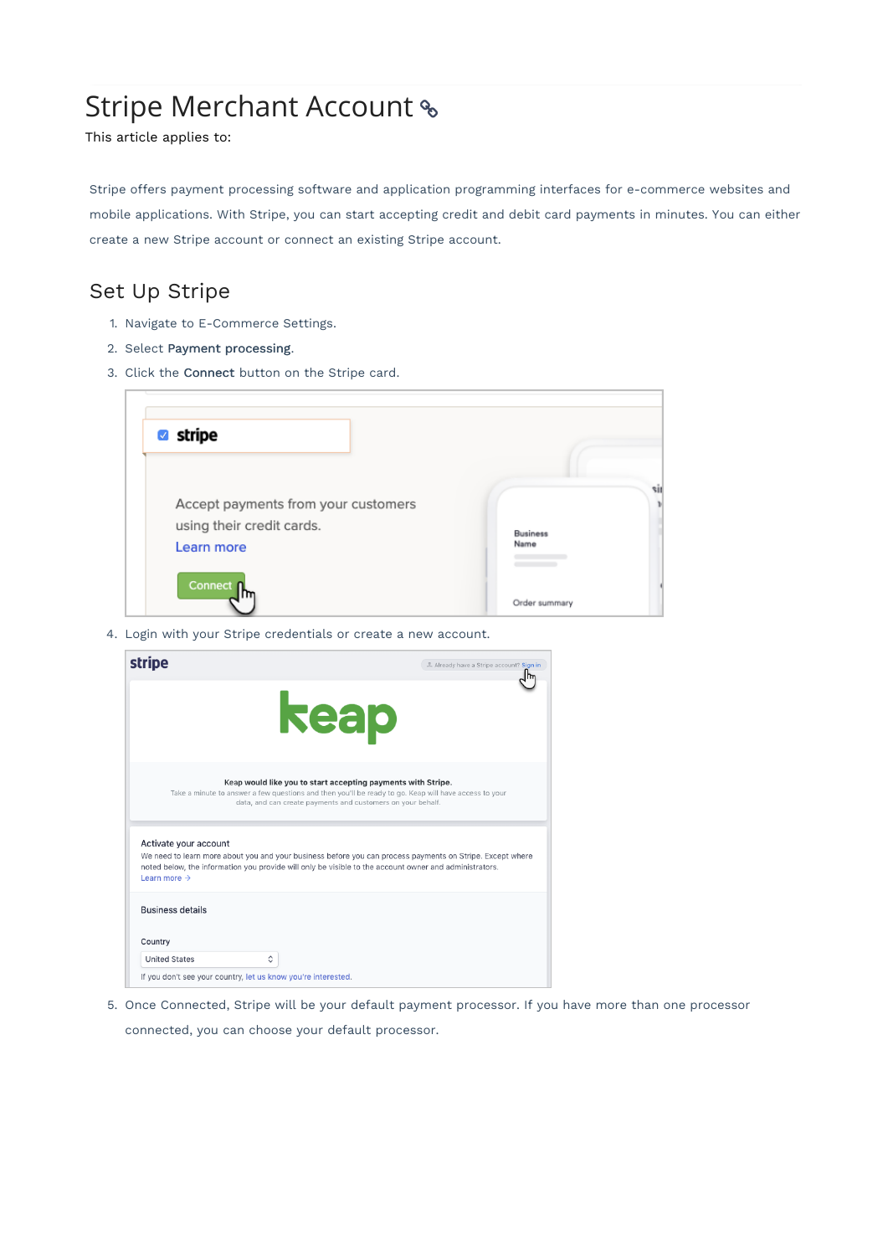# Stripe Merchant Account

This article applies to:

Stripe offers payment processing software and application programming interfaces for e-commerce websites and mobile applications. With Stripe, you can start accepting credit and debit card payments in minutes. You can either create a new Stripe account or connect an existing Stripe account.

## Set Up Stripe

- 1. Navigate to E-Commerce Settings.
- 2. Select Payment processing.
- 3. Click the Connect button on the Stripe card.

| stripe                                                                         |                         |
|--------------------------------------------------------------------------------|-------------------------|
| Accept payments from your customers<br>using their credit cards.<br>Learn more | <b>Business</b><br>Name |
| Connect <sub>n</sub>                                                           | Order summary           |

4. Login with your Stripe credentials or create a new account.

| stripe                                                                                                                                                                                                                                                                   | 2 Already have a Stripe account? Sign in |
|--------------------------------------------------------------------------------------------------------------------------------------------------------------------------------------------------------------------------------------------------------------------------|------------------------------------------|
| <b>keap</b>                                                                                                                                                                                                                                                              |                                          |
| Keap would like you to start accepting payments with Stripe.<br>Take a minute to answer a few questions and then you'll be ready to go. Keap will have access to your<br>data, and can create payments and customers on your behalf.                                     |                                          |
| Activate your account<br>We need to learn more about you and your business before you can process payments on Stripe. Except where<br>noted below, the information you provide will only be visible to the account owner and administrators.<br>Learn more $\rightarrow$ |                                          |
| <b>Business details</b>                                                                                                                                                                                                                                                  |                                          |
| Country                                                                                                                                                                                                                                                                  |                                          |
| <b>United States</b><br>≎                                                                                                                                                                                                                                                |                                          |
| If you don't see your country, let us know you're interested.                                                                                                                                                                                                            |                                          |

- 5. Once Connected, Stripe will be your default payment processor. If you have more than one processor
	- connected, you can choose your default processor.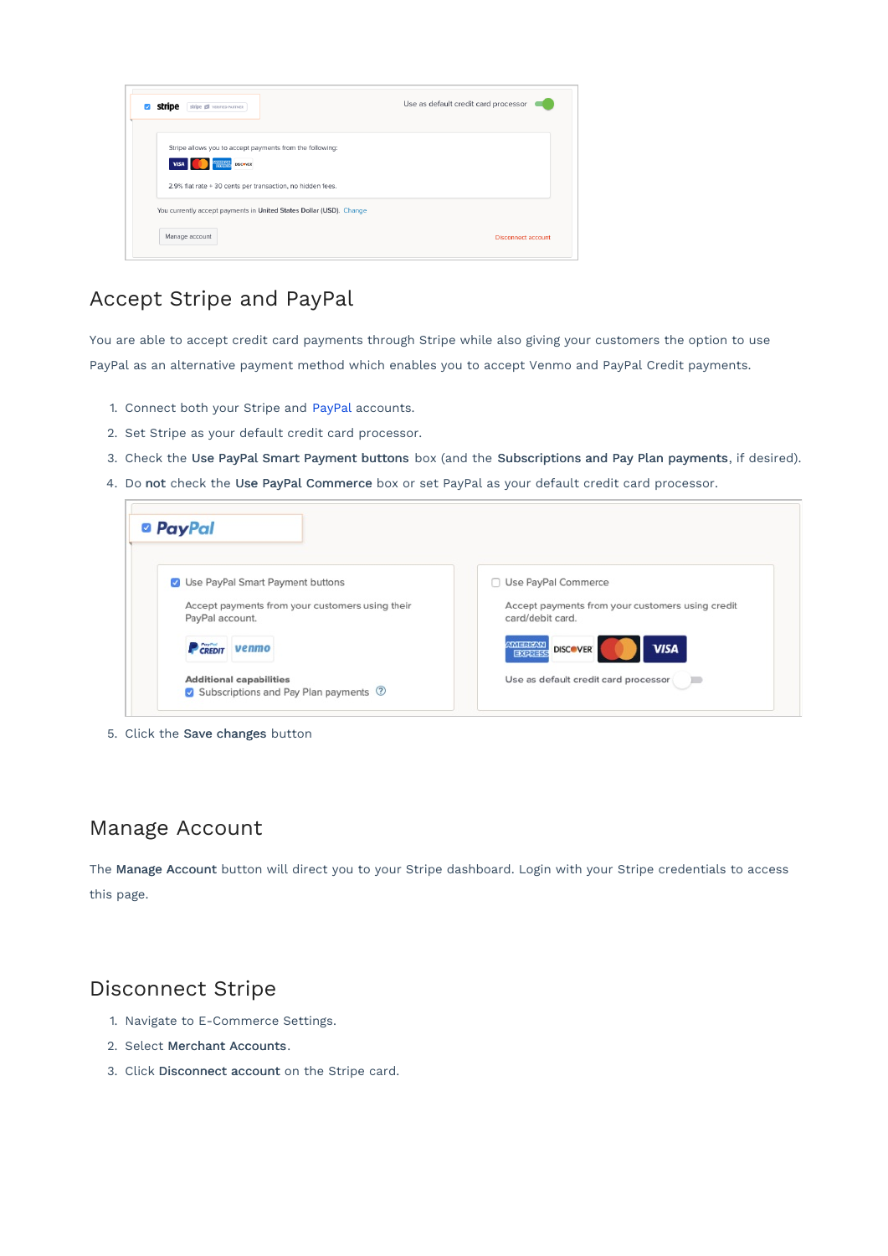| Stripe Ed VERIFIED PARTNER<br>stripe                                                                                     | Use as default credit card processor |
|--------------------------------------------------------------------------------------------------------------------------|--------------------------------------|
| Stripe allows you to accept payments from the following:<br><b>MERIKAN</b><br>Franklis<br><b>VISA</b><br><b>DISCOVER</b> |                                      |
| 2.9% flat rate + 30 cents per transaction, no hidden fees.                                                               |                                      |
| You currently accept payments in United States Dollar (USD). Change                                                      |                                      |
| Manage account                                                                                                           | <b>Disconnect account</b>            |

# Accept Stripe and PayPal

You are able to accept credit card payments through Stripe while also giving your customers the option to use PayPal as an alternative payment method which enables you to accept Venmo and PayPal Credit payments.

- 1. Connect both your Stripe and PayPal accounts.
- 2. Set Stripe as your default credit card processor.
- 3. Check the Use PayPal Smart Payment buttons box (and the Subscriptions and Pay Plan payments, if desired).
- 4. Do not check the Use PayPal Commerce box or set PayPal as your default credit card processor.

| Use PayPal Smart Payment buttons                | Use PayPal Commerce<br>n.                        |
|-------------------------------------------------|--------------------------------------------------|
| Accept payments from your customers using their | Accept payments from your customers using credit |
| PayPal account.                                 | card/debit card.                                 |
| CREDIT<br>venmo                                 | AMERICAN<br><b>VISA</b><br><b>DISCOVER</b>       |
|                                                 | EXPRESS                                          |
| <b>Additional capabilities</b>                  | Use as default credit card processor             |
| Subscriptions and Pay Plan payments 2           |                                                  |

5. Click the Save changes button

### Manage Account

The Manage Account button will direct you to your Stripe dashboard. Login with your Stripe credentials to access this page.

### Disconnect Stripe

- 1. Navigate to E-Commerce Settings.
- 2. Select Merchant Accounts.
- 3. Click Disconnect account on the Stripe card.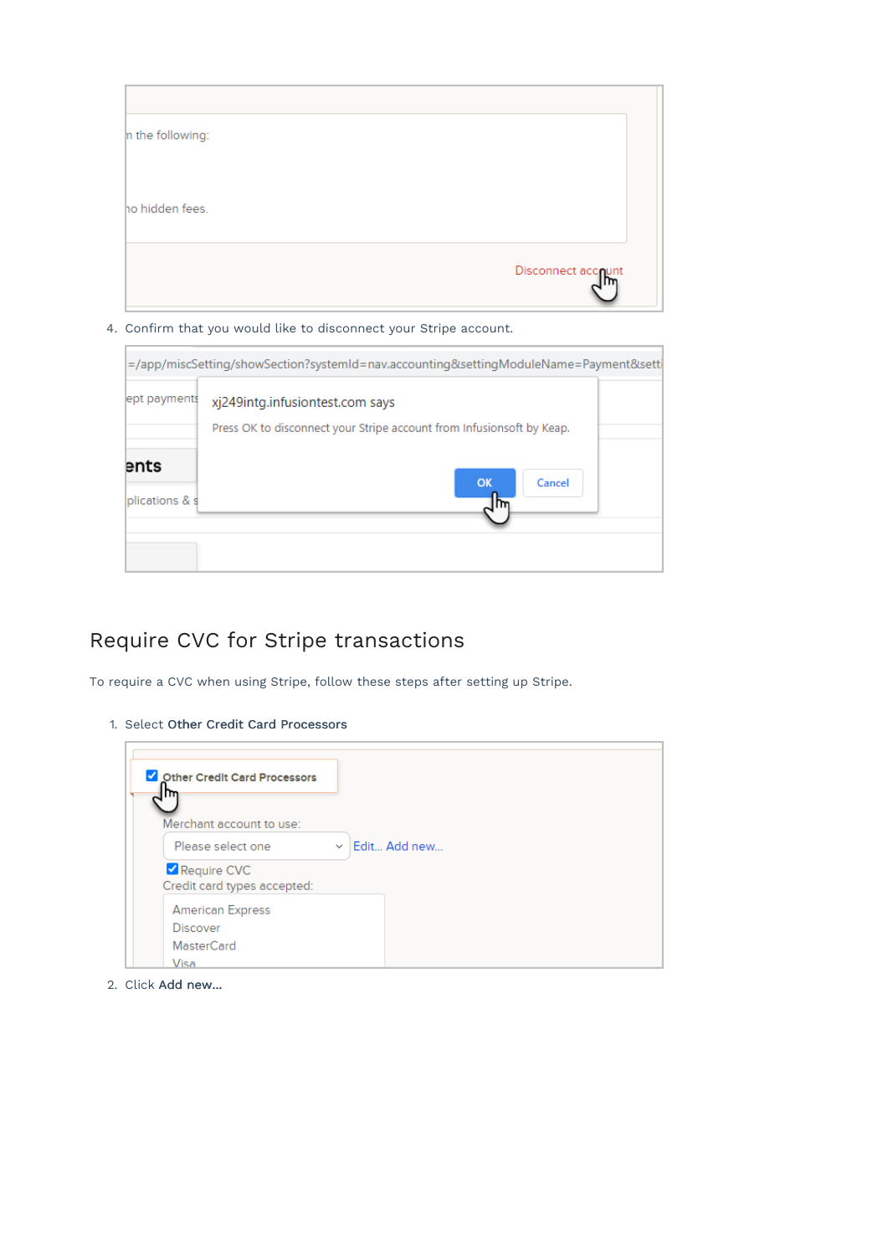

4. Confirm that you would like to disconnect your Stripe account.

|                        | =/app/miscSetting/showSection?systemId=nav.accounting&settingModuleName=Payment&setti                    |
|------------------------|----------------------------------------------------------------------------------------------------------|
| ept payments           | xj249intg.infusiontest.com says<br>Press OK to disconnect your Stripe account from Infusionsoft by Keap. |
| ents<br>plications & s | OK<br>Cancel<br>m                                                                                        |

# Require CVC for Stripe transactions

To require a CVC when using Stripe, follow these steps after setting up Stripe.

1. Select Other Credit Card Processors



2. Click Add new...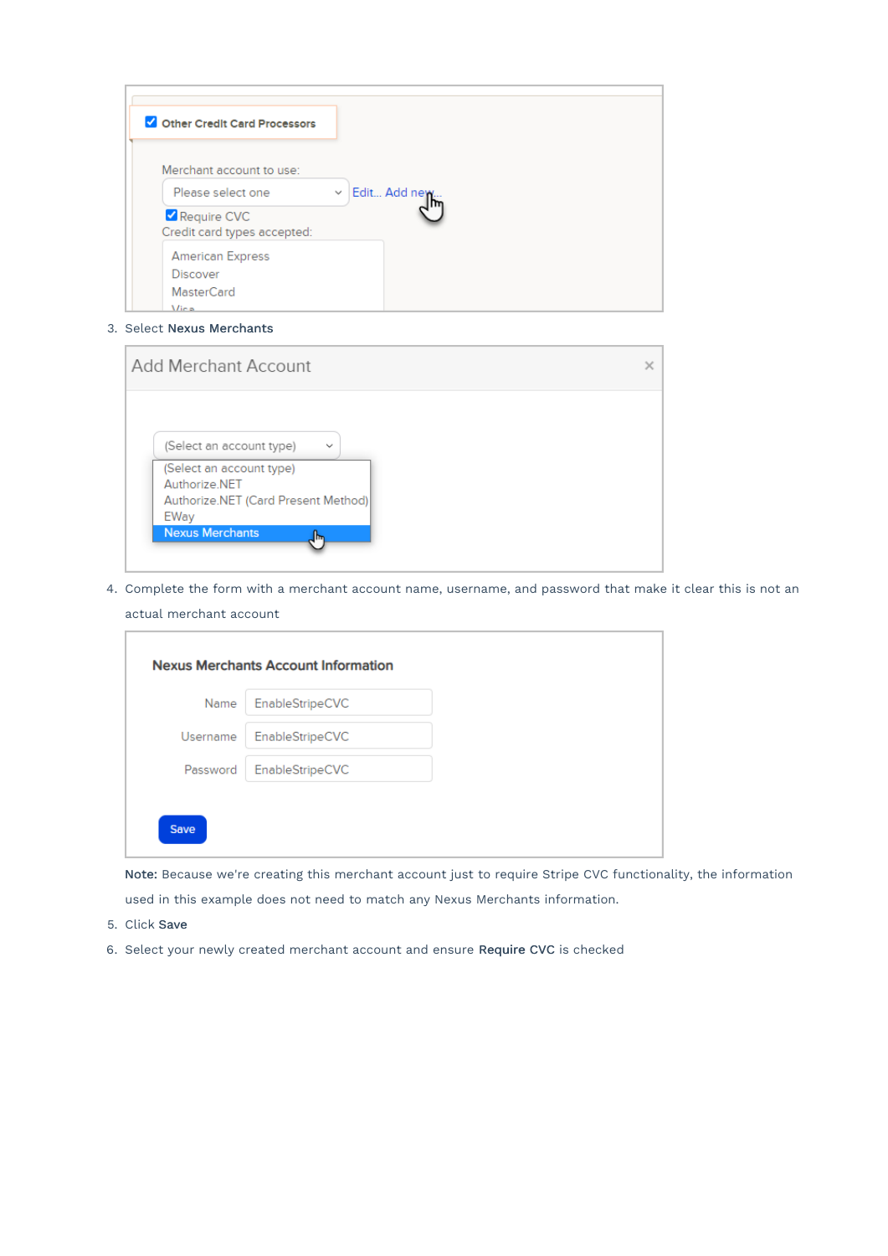| Other Credit Card Processors               |                |
|--------------------------------------------|----------------|
| Merchant account to use:                   |                |
| Please select one                          | v Edit Add new |
| Require CVC<br>Credit card types accepted: |                |
| <b>American Express</b>                    |                |
| <b>Discover</b>                            |                |
| <b>MasterCard</b>                          |                |
| Vice                                       |                |

3. Select Nexus Merchants

| <b>Add Merchant Account</b>                       |                                     |  |
|---------------------------------------------------|-------------------------------------|--|
|                                                   |                                     |  |
| (Select an account type)                          | $\checkmark$                        |  |
| (Select an account type)<br>Authorize NET<br>EWay | Authorize.NET (Card Present Method) |  |
| <b>Nexus Merchants</b>                            | llm,                                |  |

4. Complete the form with a merchant account name, username, and password that make it clear this is not an actual merchant account

Note: Because we're creating this merchant account just to require Stripe CVC functionality, the information used in this example does not need to match any Nexus Merchants information.

- 5. Click Save
- 6. Select your newly created merchant account and ensure Require CVC is checked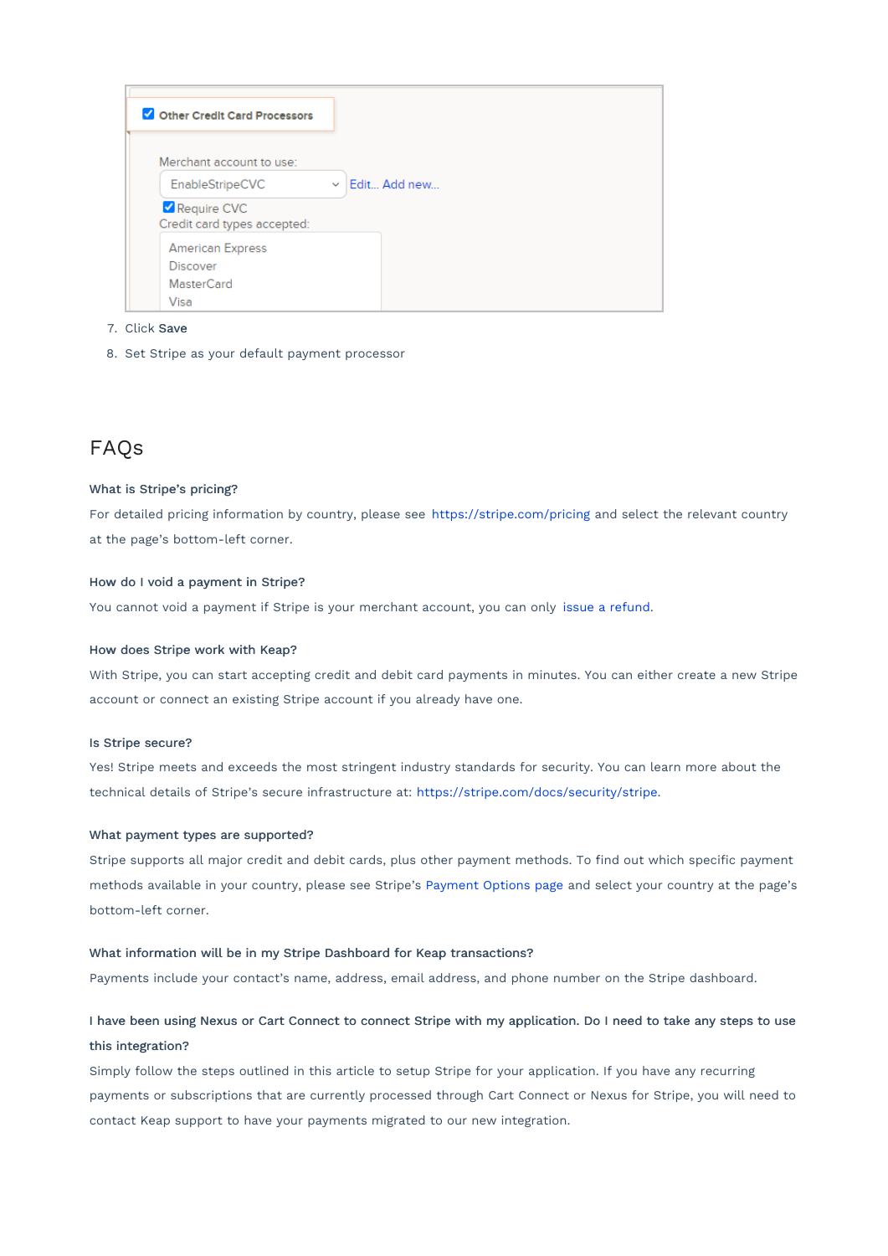| Other Credit Card Processors               |                     |
|--------------------------------------------|---------------------|
| Merchant account to use:                   |                     |
| EnableStripeCVC                            | $\vee$ Edit Add new |
| Require CVC<br>Credit card types accepted: |                     |
| <b>American Express</b>                    |                     |
| <b>Discover</b>                            |                     |
| <b>MasterCard</b>                          |                     |
| Visa                                       |                     |

#### 7. Click Save

8. Set Stripe as your default payment processor

### FAQs

#### What is Stripe's pricing?

For detailed pricing information by country, please see https://stripe.com/pricing and select the relevant country at the page's bottom-left corner.

#### How do I void a payment in Stripe?

You cannot void a payment if Stripe is your merchant account, you can only issue a refund.

#### How does Stripe work with Keap?

With Stripe, you can start accepting credit and debit card payments in minutes. You can either create a new Stripe account or connect an existing Stripe account if you already have one.

#### Is Stripe secure?

Yes! Stripe meets and exceeds the most stringent industry standards for security. You can learn more about the technical details of Stripe's secure infrastructure at: https://stripe.com/docs/security/stripe.

#### What payment types are supported?

Stripe supports all major credit and debit cards, plus other payment methods. To find out which specific payment methods available in your country, please see Stripe's Payment Options page and select your country at the page's bottom-left corner.

#### What information will be in my Stripe Dashboard for Keap transactions?

Payments include your contact's name, address, email address, and phone number on the Stripe dashboard.

### I have been using Nexus or Cart Connect to connect Stripe with my application. Do I need to take any steps to use this integration?

Simply follow the steps outlined in this article to setup Stripe for your application. If you have any recurring payments or subscriptions that are currently processed through Cart Connect or Nexus for Stripe, you will need to contact Keap support to have your payments migrated to our new integration.